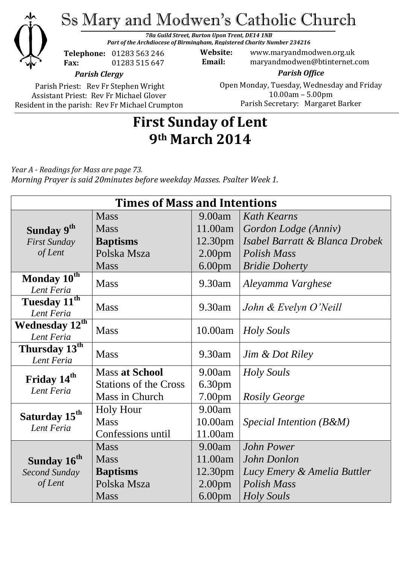

Ss Mary and Modwen's Catholic Church

*78a Guild Street, Burton Upon Trent, DE14 1NB Part of the Archdiocese of Birmingham, Registered Charity Number 234216*

**Telephone:** 01283 563 246 **Fax:** 01283 515 647

**Website:** www.maryandmodwen.org.uk **Email:** maryandmodwen@btinternet.com

*Parish Clergy*

Parish Priest: Rev Fr Stephen Wright Assistant Priest: Rev Fr Michael Glover Resident in the parish: Rev Fr Michael Crumpton

*Parish Office* Open Monday, Tuesday, Wednesday and Friday 10.00am – 5.00pm Parish Secretary:Margaret Barker

# **First Sunday of Lent 9th March 2014**

*Year A - Readings for Mass are page 73. Morning Prayer is said 20minutes before weekday Masses. Psalter Week 1.*

| <b>Times of Mass and Intentions</b>      |                              |                     |                                |
|------------------------------------------|------------------------------|---------------------|--------------------------------|
|                                          | <b>Mass</b>                  | 9.00am              | Kath Kearns                    |
| Sunday 9 <sup>th</sup>                   | <b>Mass</b>                  | 11.00am             | Gordon Lodge (Anniv)           |
| <b>First Sunday</b>                      | <b>Baptisms</b>              | 12.30 <sub>pm</sub> | Isabel Barratt & Blanca Drobek |
| of Lent                                  | Polska Msza                  | 2.00 <sub>pm</sub>  | Polish Mass                    |
|                                          | <b>Mass</b>                  | 6.00 <sub>pm</sub>  | <b>Bridie Doherty</b>          |
| Monday 10th<br>Lent Feria                | <b>Mass</b>                  | 9.30am              | Aleyamma Varghese              |
| Tuesday 11 <sup>th</sup><br>Lent Feria   | <b>Mass</b>                  | 9.30am              | John & Evelyn O'Neill          |
| Wednesday 12 <sup>th</sup><br>Lent Feria | <b>Mass</b>                  | 10.00am             | Holy Souls                     |
| Thursday 13 <sup>th</sup><br>Lent Feria  | <b>Mass</b>                  | 9.30am              | Jim & Dot Riley                |
| Friday 14 <sup>th</sup><br>Lent Feria    | <b>Mass at School</b>        | 9.00am              | <b>Holy Souls</b>              |
|                                          | <b>Stations of the Cross</b> | 6.30 <sub>pm</sub>  |                                |
|                                          | Mass in Church               | 7.00 <sub>pm</sub>  | <b>Rosily George</b>           |
| Saturday 15 <sup>th</sup><br>Lent Feria  | <b>Holy Hour</b>             | 9.00am              |                                |
|                                          | <b>Mass</b>                  | 10.00am             | Special Intention $(B \& M)$   |
|                                          | Confessions until            | 11.00am             |                                |
|                                          | <b>Mass</b>                  | 9.00am              | John Power                     |
| Sunday 16 <sup>th</sup>                  | <b>Mass</b>                  | 11.00am             | John Donlon                    |
| <b>Second Sunday</b>                     | <b>Baptisms</b>              | 12.30 <sub>pm</sub> | Lucy Emery & Amelia Buttler    |
| of Lent                                  | Polska Msza                  | 2.00 <sub>pm</sub>  | <b>Polish Mass</b>             |
|                                          | <b>Mass</b>                  | 6.00 <sub>pm</sub>  | Holy Souls                     |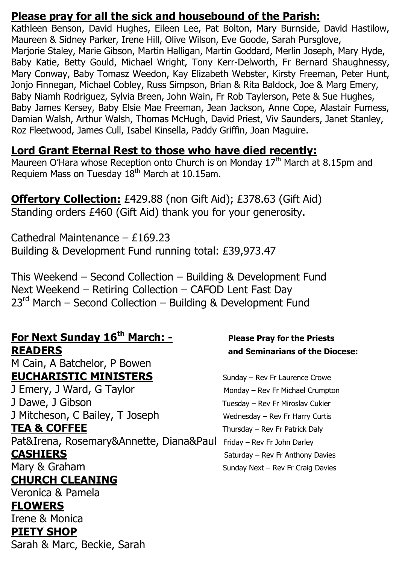### **Please pray for all the sick and housebound of the Parish:**

Kathleen Benson, David Hughes, Eileen Lee, Pat Bolton, Mary Burnside, David Hastilow, Maureen & Sidney Parker, Irene Hill, Olive Wilson, Eve Goode, Sarah Pursglove, Marjorie Staley, Marie Gibson, Martin Halligan, Martin Goddard, Merlin Joseph, Mary Hyde, Baby Katie, Betty Gould, Michael Wright, Tony Kerr-Delworth, Fr Bernard Shaughnessy, Mary Conway, Baby Tomasz Weedon, Kay Elizabeth Webster, Kirsty Freeman, Peter Hunt, Jonjo Finnegan, Michael Cobley, Russ Simpson, Brian & Rita Baldock, Joe & Marg Emery, Baby Niamh Rodriguez, Sylvia Breen, John Wain, Fr Rob Taylerson, Pete & Sue Hughes, Baby James Kersey, Baby Elsie Mae Freeman, Jean Jackson, Anne Cope, Alastair Furness, Damian Walsh, Arthur Walsh, Thomas McHugh, David Priest, Viv Saunders, Janet Stanley, Roz Fleetwood, James Cull, Isabel Kinsella, Paddy Griffin, Joan Maguire.

### **Lord Grant Eternal Rest to those who have died recently:**

Maureen O'Hara whose Reception onto Church is on Monday 17<sup>th</sup> March at 8.15pm and Requiem Mass on Tuesday 18<sup>th</sup> March at 10.15am.

### **Offertory Collection:** £429.88 (non Gift Aid); £378.63 (Gift Aid) Standing orders £460 (Gift Aid) thank you for your generosity.

Cathedral Maintenance – £169.23 Building & Development Fund running total: £39,973.47

This Weekend – Second Collection – Building & Development Fund Next Weekend – Retiring Collection – CAFOD Lent Fast Day 23<sup>rd</sup> March – Second Collection – Building & Development Fund

#### **For Next Sunday 16th March: - Please Pray for the Priests READERS and Seminarians of the Diocese:**

M Cain, A Batchelor, P Bowen **EUCHARISTIC MINISTERS** Sunday – Rev Fr Laurence Crowe

J Emery, J Ward, G Taylor Monday – Rev Fr Michael Crumpton J Dawe, J Gibson Tuesday – Rev Fr Miroslav Cukier J Mitcheson, C Bailey, T Joseph Wednesday – Rev Fr Harry Curtis **TEA & COFFEE** Thursday – Rev Fr Patrick Daly Pat&Irena, Rosemary&Annette, Diana&Paul Friday - Rev Fr John Darley **CASHIERS** Saturday – Rev Fr Anthony Davies Mary & Graham Sunday Next – Rev Fr Craig Davies **CHURCH CLEANING**

Veronica & Pamela

#### **FLOWERS**

Irene & Monica

#### **PIETY SHOP**

Sarah & Marc, Beckie, Sarah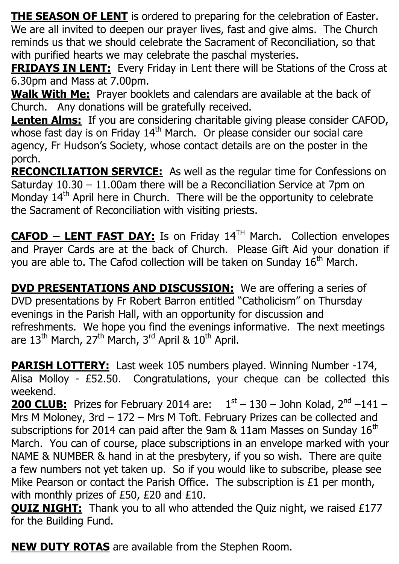**THE SEASON OF LENT** is ordered to preparing for the celebration of Easter. We are all invited to deepen our prayer lives, fast and give alms. The Church reminds us that we should celebrate the Sacrament of Reconciliation, so that with purified hearts we may celebrate the paschal mysteries.

**FRIDAYS IN LENT:** Every Friday in Lent there will be Stations of the Cross at 6.30pm and Mass at 7.00pm.

**Walk With Me:** Prayer booklets and calendars are available at the back of Church. Any donations will be gratefully received.

**Lenten Alms:** If you are considering charitable giving please consider CAFOD, whose fast day is on Friday  $14<sup>th</sup>$  March. Or please consider our social care agency, Fr Hudson's Society, whose contact details are on the poster in the porch.

**RECONCILIATION SERVICE:** As well as the regular time for Confessions on Saturday 10.30 – 11.00am there will be a Reconciliation Service at 7pm on Monday  $14<sup>th</sup>$  April here in Church. There will be the opportunity to celebrate the Sacrament of Reconciliation with visiting priests.

**CAFOD – LENT FAST DAY:** Is on Friday 14TH March. Collection envelopes and Prayer Cards are at the back of Church. Please Gift Aid your donation if you are able to. The Cafod collection will be taken on Sunday 16<sup>th</sup> March.

**DVD PRESENTATIONS AND DISCUSSION:** We are offering a series of DVD presentations by Fr Robert Barron entitled "Catholicism" on Thursday evenings in the Parish Hall, with an opportunity for discussion and refreshments. We hope you find the evenings informative. The next meetings are  $13<sup>th</sup>$  March,  $27<sup>th</sup>$  March,  $3<sup>rd</sup>$  April &  $10<sup>th</sup>$  April.

**PARISH LOTTERY:** Last week 105 numbers played. Winning Number -174, Alisa Molloy - £52.50. Congratulations, your cheque can be collected this weekend.

**200 CLUB:** Prizes for February 2014 are:  $1^{st} - 130 -$  John Kolad,  $2^{nd} - 141 -$ Mrs M Moloney, 3rd - 172 - Mrs M Toft. February Prizes can be collected and subscriptions for 2014 can paid after the 9am  $\&$  11am Masses on Sunday 16<sup>th</sup> March. You can of course, place subscriptions in an envelope marked with your NAME & NUMBER & hand in at the presbytery, if you so wish. There are quite a few numbers not yet taken up. So if you would like to subscribe, please see Mike Pearson or contact the Parish Office. The subscription is £1 per month, with monthly prizes of £50, £20 and £10.

**QUIZ NIGHT:** Thank you to all who attended the Quiz night, we raised £177 for the Building Fund.

**NEW DUTY ROTAS** are available from the Stephen Room.